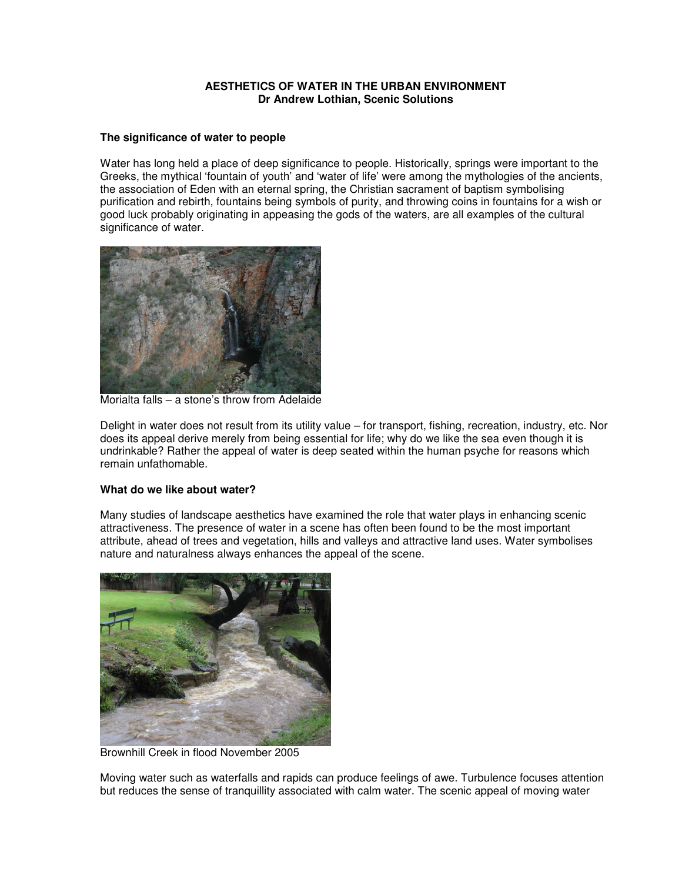## **AESTHETICS OF WATER IN THE URBAN ENVIRONMENT Dr Andrew Lothian, Scenic Solutions**

### **The significance of water to people**

Water has long held a place of deep significance to people. Historically, springs were important to the Greeks, the mythical 'fountain of youth' and 'water of life' were among the mythologies of the ancients, the association of Eden with an eternal spring, the Christian sacrament of baptism symbolising purification and rebirth, fountains being symbols of purity, and throwing coins in fountains for a wish or good luck probably originating in appeasing the gods of the waters, are all examples of the cultural significance of water.



Morialta falls – a stone's throw from Adelaide

Delight in water does not result from its utility value – for transport, fishing, recreation, industry, etc. Nor does its appeal derive merely from being essential for life; why do we like the sea even though it is undrinkable? Rather the appeal of water is deep seated within the human psyche for reasons which remain unfathomable.

# **What do we like about water?**

Many studies of landscape aesthetics have examined the role that water plays in enhancing scenic attractiveness. The presence of water in a scene has often been found to be the most important attribute, ahead of trees and vegetation, hills and valleys and attractive land uses. Water symbolises nature and naturalness always enhances the appeal of the scene.



Brownhill Creek in flood November 2005

Moving water such as waterfalls and rapids can produce feelings of awe. Turbulence focuses attention but reduces the sense of tranquillity associated with calm water. The scenic appeal of moving water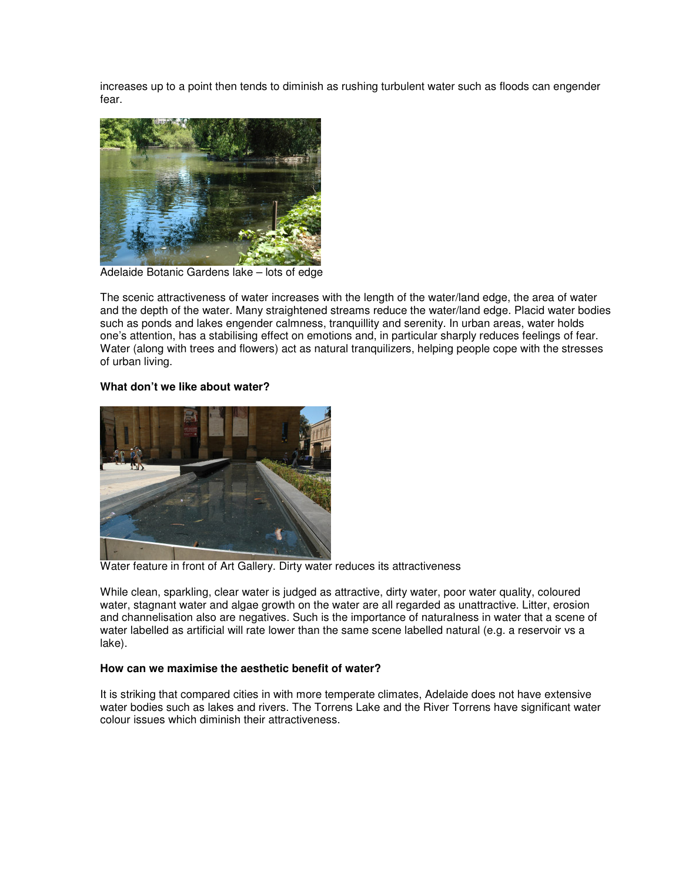increases up to a point then tends to diminish as rushing turbulent water such as floods can engender fear.



Adelaide Botanic Gardens lake – lots of edge

The scenic attractiveness of water increases with the length of the water/land edge, the area of water and the depth of the water. Many straightened streams reduce the water/land edge. Placid water bodies such as ponds and lakes engender calmness, tranquillity and serenity. In urban areas, water holds one's attention, has a stabilising effect on emotions and, in particular sharply reduces feelings of fear. Water (along with trees and flowers) act as natural tranquilizers, helping people cope with the stresses of urban living.

# **What don't we like about water?**



Water feature in front of Art Gallery. Dirty water reduces its attractiveness

While clean, sparkling, clear water is judged as attractive, dirty water, poor water quality, coloured water, stagnant water and algae growth on the water are all regarded as unattractive. Litter, erosion and channelisation also are negatives. Such is the importance of naturalness in water that a scene of water labelled as artificial will rate lower than the same scene labelled natural (e.g. a reservoir vs a lake).

## **How can we maximise the aesthetic benefit of water?**

It is striking that compared cities in with more temperate climates, Adelaide does not have extensive water bodies such as lakes and rivers. The Torrens Lake and the River Torrens have significant water colour issues which diminish their attractiveness.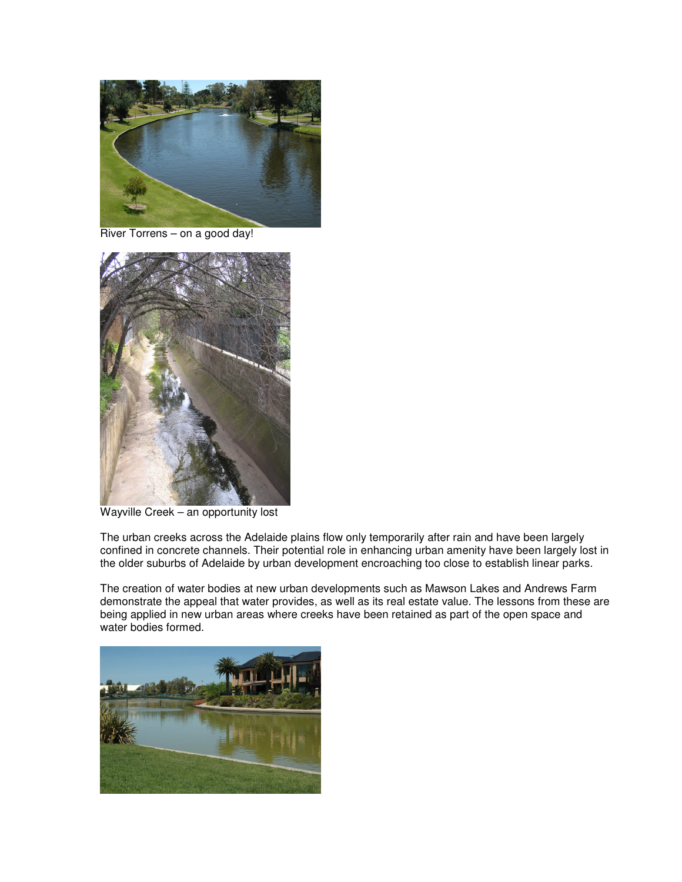

River Torrens – on a good day!



Wayville Creek – an opportunity lost

The urban creeks across the Adelaide plains flow only temporarily after rain and have been largely confined in concrete channels. Their potential role in enhancing urban amenity have been largely lost in the older suburbs of Adelaide by urban development encroaching too close to establish linear parks.

The creation of water bodies at new urban developments such as Mawson Lakes and Andrews Farm demonstrate the appeal that water provides, as well as its real estate value. The lessons from these are being applied in new urban areas where creeks have been retained as part of the open space and water bodies formed.

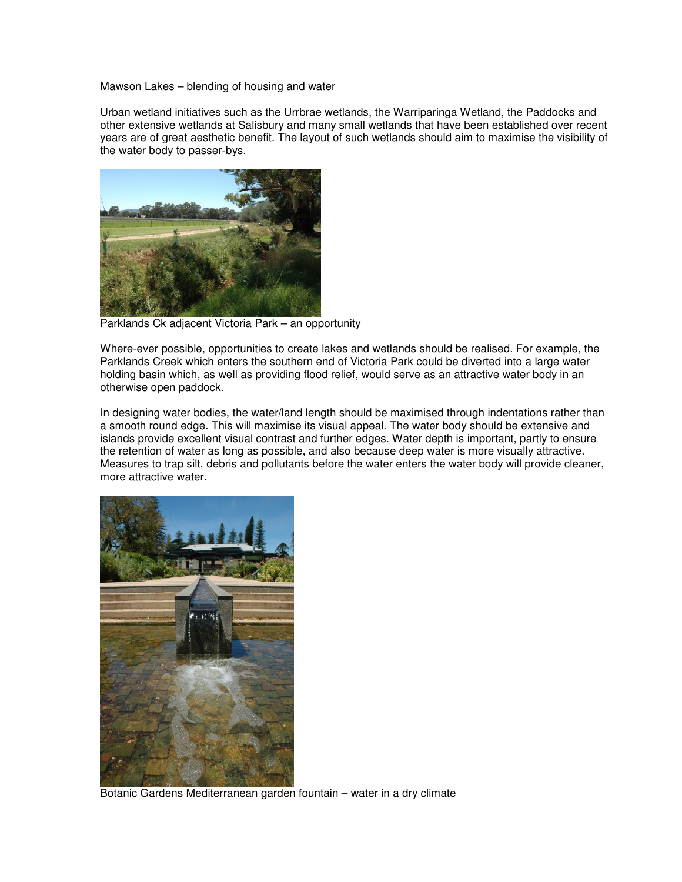Mawson Lakes – blending of housing and water

Urban wetland initiatives such as the Urrbrae wetlands, the Warriparinga Wetland, the Paddocks and other extensive wetlands at Salisbury and many small wetlands that have been established over recent years are of great aesthetic benefit. The layout of such wetlands should aim to maximise the visibility of the water body to passer-bys.



Parklands Ck adjacent Victoria Park – an opportunity

Where-ever possible, opportunities to create lakes and wetlands should be realised. For example, the Parklands Creek which enters the southern end of Victoria Park could be diverted into a large water holding basin which, as well as providing flood relief, would serve as an attractive water body in an otherwise open paddock.

In designing water bodies, the water/land length should be maximised through indentations rather than a smooth round edge. This will maximise its visual appeal. The water body should be extensive and islands provide excellent visual contrast and further edges. Water depth is important, partly to ensure the retention of water as long as possible, and also because deep water is more visually attractive. Measures to trap silt, debris and pollutants before the water enters the water body will provide cleaner, more attractive water.



Botanic Gardens Mediterranean garden fountain – water in a dry climate